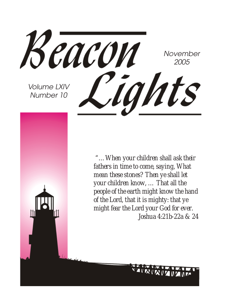

 *"…When your children shall ask their fathers in time to come, saying, What mean these stones? Then ye shall let your children know, … That all the people of the earth might know the hand of the Lord, that it is mighty: that ye might fear the Lord your God for ever. Joshua 4:21b-22a & 24*

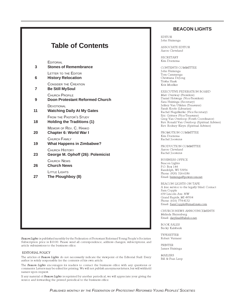### **Table of Contents**

EDITORIAL

| 3  | CDITORIAL<br><b>Stones of Remembrance</b>                           |
|----|---------------------------------------------------------------------|
| 6  | LETTER TO THE EDITOR<br><b>History Relocation</b>                   |
| 7  | <b>CONSIDER THE CREATION</b><br><b>Be Still MySoul</b>              |
| 9  | <b>CHURCH PROFILE</b><br><b>Doon Protestant Reformed Church</b>     |
| 11 | DEVOTIONAL<br><b>Watching Daily At My Gates</b>                     |
| 18 | <b>FROM THE PASTOR'S STUDY</b><br><b>Holding the Traditions (1)</b> |
| 20 | MEMOIR OF REV. C. HANKO<br>Chapter 6: World War I                   |
| 19 | CHURCH FAMILY<br><b>What Happens in Zimbabwe?</b>                   |
| 23 | <b>CHURCH HISTORY</b><br>George M. Ophoff (26): Polemicist          |
| 26 | CHURCH NEWS<br><b>Church News</b>                                   |
| 27 | LITTLE LIGHTS<br>The Ploughboy (8)                                  |
|    |                                                                     |
|    |                                                                     |
|    |                                                                     |
|    |                                                                     |

Beacon Lights is published monthly by the Federation of Protestant Reformed Young People's Societies. Subscription price is \$10.00. Please send all correspondence, address changes, subscriptions, and article submissions to the business office.

#### EDITORIAL POLICY

The articles of Beacon Lights do not necessarily indicate the viewpoint of the Editorial Staff. Every author is solely responsible for the contents of his own article.

The Beacon Lights encourages its readers to contact the business office with any questions or comments. Letters may be edited for printing. We will not publish anonymous letters, but will withhold names upon request.

If any material of Beacon Lights is reprinted by another periodical, we will appreciate your giving the source and forwarding the printed periodical to the business office.

#### **BEACON LIGHTS**

EDITOR John Huizenga

ASSOCIATE EDITOR Aaron Cleveland

SECRETARY Kim Doezema

CONTENTS COMMITTEE John Huizenga Tom Cammenga Christiana DeJong Trisha Haak Kris Moelker

EXECUTIVE FEDERATION BOARD Matt Overway (President) Daniel Holstege (Vice-President) Sara Huizinga (Secretary) Jeffrey Van Uffelen (Treasurer) Sarah Koole (Librarian) Rachel Nagelkerke (Vice-Secretary) Eric Gritters (Vice-Treasurer) Greg Van Overloop (Youth Coordinator) Rev. Ronald Van Overloop (Spiritual Advisor) Rev. Rodney Kleyn (Spiritual Advisor)

PROMOTION COMMITTEE Kim Doezema Rachel Joostens

PRODUCTION COMMITTEE Aaron Cleveland Rachel Joostens

BUSINESS OFFICE Beacon Lights P.O. Box 144 Randolph, WI 53956 Phone: (920) 326-6186 Email: huizenga@powercom.net

BEACON LIGHTS ON TAPE A free service to the legally blind. Contact Sam Copple 659 Lincoln Ave. NW Grand Rapids, MI 49504 Phone: (616) 774-4132 Email: SamCopple@email.msn.com

CHURCH NEWS ANNOUNCEMENTS Melinda Bleyenberg Email: darylmel@altelco.net.

BOOK SALES Becky Kalsbeek

TYPESETTER Robert Vermeer

PRINTER James Huizinga

MAILERS Bill & Fran Leep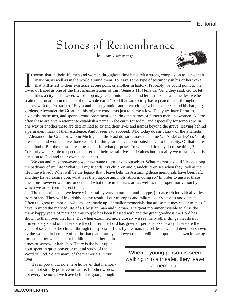# Stones of Remembrance

by Tom Cammenga



It seems that in their life men and women throughout time have felt a strong compulsion to leave their mark on, as well as in the world around them. To leave some type of testimony in his or her wake that will attest to th t seems that in their life men and women throughout time have felt a strong compulsion to leave their mark on, as well as in the world around them. To leave some type of testimony in his or her wake that will attest to their existence at one point or another in history. Probably we could point to the us build us a city and a tower, whose top may reach unto heaven; and let us make us a name, lest we be scattered abroad upon the face of the whole earth." And that same story has repeated itself throughout history with the Pharaohs of Egypt and their pyramids and great cities, Nebuchadnezzer and his hanging gardens, Alexander the Great and his mighty conquests just to name a few. Today we have libraries, hospitals, museums, and sports arenas prominently bearing the names of famous men and women. All too often these are a vain attempt to establish a name in the earth for today, and especially for tomorrow. In one way or another these are determined to extend their lives and names beyond the grave, leaving behind a permanent mark of their existence. And it seems to succeed. Who today doesn't know of the Pharaohs or Alexander the Great or who in Michigan at the least doesn't know the name VanAndel or DeVos? Truly these men and women have done wonderful things and have contributed much to humanity. Of that there is no doubt. But the question can be asked, for what purpose? To what end do they do these things? Certainly we are able to speculate based on their overall lives and values but in reality we must leave this question to God and their own consciences.

We can and must however pose these same questions to ourselves. What memorials will I leave along the pathway of my life? What will my friends, my children and grandchildren see when they look at the life I have lived? What will be the legacy that I leave behind? Assuming those memorials have been left; and they have I assure you, what was the purpose and motivation in doing so? In order to answer these questions however we must understand what these memorials are as well as the proper motivation by which we are driven to erect them.

The memorials that we leave will certainly vary in number and in type, just as each individual varies from others. They will invariably be the result of our triumphs and failures, our victories and defeats. Often the great memorials we leave are made up of smaller memorials that are sometimes easier to miss. I have in mind the married life of a Christian man and woman. The great monument visible to all is the many happy years of marriage this couple has been blessed with and the great goodness the Lord has shown to them over that time. But when examined more closely we see many other things that do not immediately stand out. There are the children the Lord has given or perhaps taken away. There are the years of service to the church through the special offices by the man, the selfless love and devotion shown by the woman in her care of her husband and family, and even the incredible compassion shown in caring

for each other when sick or building each other up in times of sorrow or hardship. There is the hour upon hour spent in quiet prayer or mutual study of the Word of God. So are many of the memorials in our lives.

It is important to note here however that memorials are not strictly positive in nature. In other words, not every memorial we leave behind is good, though

When a young person is seen walking into a theater, they leave a memorial.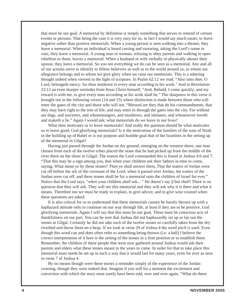that must be our goal. A memorial by definition is simply something that serves to remind of certain events or persons. That being the case it is very easy for us, in fact I would say much easier, to leave negative rather than positive memorials. When a young person is seen walking into a theater, they leave a memorial. When an individual is heard cursing and swearing, taking the Lord's name in vain, they leave a memorial. A young man or woman, refusing to obey parents and walking in open rebellion to them, leaves a memorial. When a husband or wife verbally or physically abuses their spouse, they leave a memorial. So you see everything we do can be seen as a memorial. Any and all of our actions serve to identify to fellow believers as well as to the world around us, to whom our allegiance belongs and to whom we give glory when we raise our memorials. This is a sobering thought indeed when viewed in the light of scripture. In Psalm 62:12 we read, "Also unto thee, O Lord, belongeth mercy: for thou renderest to every man according to his work." And in Revelation 22:12 an even sharper reminder from Jesus Christ himself; "And, Behold, I come quickly; and my reward is with me, to give every man according as his work shall be." The sharpness in this verse is brought out in the following verses (14 and 15) where distinction is made between those who will enter the gates of the city and those who will not. "Blessed are they that do his commandments, that they may have right to the tree of life, and may enter in through the gates into the city. For without are dogs, and sorcerers, and whoremongers, and murderers, and idolaters, and whoseoever loveth and maketh a lie." Again I would ask; what memorials do we leave in our lives?

What then motivates us to leave memorials? And really the question should be what motivates us to leave good, God glorifying memorials? Is it the motivation of the families of the sons of Noah in the building up of Babel or is our purpose and humble goal that of the Israelites in the setting up of the memorial in Gilgal?

Having just passed through the Jordan on dry ground, emerging on the western shore, one man chosen from each of the twelve tribes placed the stone that he had picked up from the middle of the river there on the shore in Gilgal. The reason the Lord commanded this is found in Joshua 4:6 and 7: "That this may be a sign among you, that when your children ask their fathers in time to come, saying, What mean ye by these stones? Then ye shall answer them, That the waters of Jordan were cut off before the ark of the covenant of the Lord; when it passed over Jordan, the waters of the Jordan were cut off: and these stones shall be for a memorial unto the children of Israel for ever." Notice that the Lord says, "*when* your children *shall* ask…" He doesn't say *if* but *shall*! There is no question that they will ask. They will see this memorial and they will ask why it is there and what it means. Therefore too we must be ready to explain, to give advice, and to give wise counsel when these questions are asked.

It is also critical for us to understand that these memorials cannot be hastily thrown up with a haphazard attitude only to continue on our way through life, at least if they are to be positive, God glorifying memorials. Again I will say that this must be our goal. These must be conscious acts of thankfulness on our part. You can be sure that Joshua did not haphazardly set up or lay out the stones at Gilgal. Certainly he did not take each of the twelve stones so carefully taken from the dry riverbed and throw them on a heap. If we look at verse 20 of Joshua 4 the word *pitch* is used. Even though this word can and does often refer to something being thrown (i.e. a ball) I believe the correct interpretation of it here is the setting of the stones in a firm position or to establish them. Remember, the children of these people that were now gathered around Joshua would ask their parents and elders what these stones meant in the years to come. In order for that to take place this memorial must needs be set up in such a way that it would last for many years, even for ever as seen in verse 7 of Joshua 4.

By no means though were these stones a reminder simply of the experience of the Jordan crossing, though they were indeed that. Imagine if you will for a moment the excitement and conviction with which the story must surely have been told, over and over again. "What do these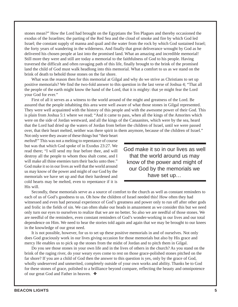stones mean?" How the Lord had brought on the Egyptians the Ten Plagues and thereby occasioned the exodus of the Israelites; the parting of the Red Sea and the cloud of smoke and fire by which God led Israel; the constant supply of manna and quail and the water from the rock by which God sustained Israel; the forty years of wandering in the wilderness. And finally that great deliverance wrought by God as he delivered his chosen people at last into the promised land. What an amazing and incredible memorial! Still more they were and still are today a memorial to the faithfulness of God to his people. Having traversed the difficult and often ravaging path of this life, finally brought to the brink of the promised land the child of God must walk headlong into this memorial. What a comfort to us as we stand on the brink of death to behold those stones on the far shore.

What was the reason then for this memorial at Gilgal and why do we strive as Christians to set up positive memorials? We find the two-fold answer to this question in the last verse of Joshua 4; "That all the people of the earth might know the hand of the Lord, that it is mighty: that ye might fear the Lord your God for ever."

First of all it serves as a witness to the world around of the might and greatness of the Lord. Be assured that the people inhabiting this area were well aware of what those stones in Gilgal represented. They were well acquainted with the history of this people and with the awesome power of their God. This is plain from Joshua 5:1 where we read; "And it came to pass, when all the kings of the Amorites which were on the side of Jordan westward, and all the kings of the Canaanites, which were by the sea, heard that the Lord had dried up the waters of Jordan from before the children of Israel, until we were passed over, that their heart melted, neither was there spirit in them anymore, because of the children of Israel."

Not only were they aware of these things but "their heart *melted*!" This was not a melting to repentance of course but was that which God spoke of in Exodus 23:27. We read there; "I will send my fear before thee, and will destroy all the people to whom thou shalt come, and I will make all thine enemies turn their backs unto thee." God make it so in our lives as well that the world around us may know of the power and might of our God by the memorials we have set up and that their hardened and cold hearts may be melted, even to repentance if it is His will.

God make it so in our lives as well that the world around us may know of the power and might of our God by the memorials we have set up…

Secondly, these memorials serve as a source of comfort to the church as well as constant reminders to each of us of God's goodness to us. Oh how the children of Israel needed this! How often they had witnessed and even had personal experience of God's greatness and power only to run off after other gods and frolic in the fields of sin. We can often shake our heads in amazement as we consider this but we need only turn our eyes to ourselves to realize that we are no better. So also we are needful of those stones. We are needful of the reminders, even constant reminders of God's wonder-working in our lives and our total dependence on Him. We need to hear the stories told again and again that we may be brought to our knees in the knowledge of our great need.

It is not possible, however, for us to set up these positive memorials in and of ourselves. Not only does God graciously work in our lives giving occasion for those memorials but also by His grace and mercy He enables us to pick up the stones from the midst of Jordan and to pitch them in Gilgal.

Do you see those stones in your own life and in the lives of others in the church? As you stand on the brink of the raging river, do your weary eyes come to rest on those grace-polished stones pitched on the far shore? If you are a child of God then the answer to this question is yes, only by the grace of God, wholly undeserved and unmerited, completely outside of your own works and ability. Thanks be to God for these stones of grace, polished to a brilliance beyond compare, reflecting the beauty and omnipotence of our great God and Father in heaven. ❖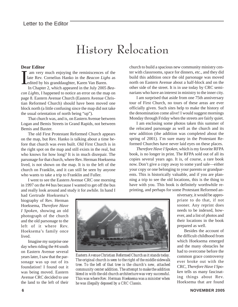## History Relocation

#### **Dear Editor**

I am very much enjoying the reminiscences of the late Rev. Cornelius Hanko in the *Beacon Lighs* as edited by his granddaughter, Karen Van Baren.

In Chapter 2, which appeared in the July 2005 *Beacon Lights,* I happened to notice an error on the map on page 8. Eastern Avenue Church (Eastern Avenue Christian Reformed Church) should have been moved one block north (a little confusing since the map did not take the usual orientation of north being "up").

That church was, and is, on Eastern Avenue between Logan and Bemis Streets in Grand Rapids, not between Bemis and Baxter.

The old First Protestant Reformed Church appears on the map, but Rev. Hanko is talking about a time before that church was even built. Old First Church is in the right spot on the map and still exists in the real, but who knows for how long? It is in much disrepair. The parsonage for that church, where Rev. Herman Hoeksema lived, is not shown on the map. It is to the left of the church on Franklin, and it can still be seen by anyone who wants to take a trip to Franklin and Fuller.

I went to see the Eastern Avenue CRC one morning in 1997 on the #4 bus because I wanted to get off the bus and really look around and study it for awhile. In hand I church to build a spacious new community ministry center with classrooms, space for dinners, etc., and they did build this addition once the old parsonage was moved north on Eastern Avenue about a half-block and on the other side of the street. It is in use today by CRC seminarians who have an interest in ministry to the inner city.

I am surprised that aside from one 75th anniversary tour of First Church, no tours of these areas are ever officially given. Such sites help to make the history of the denomination come alive! I would suggest mornings Monday through Friday when the streets are fairly quiet.

I am enclosing some photos taken this summer of the relocated parsonage as well as the church and its new addition (the addition was completed about the spring of 2001). I'm sure many in the Protestant Reformed Churches have never laid eyes on these places.

*Therefore Have I Spoken,* which is my favorite RFPA book, is no longer in print. The RFPA sold out of all its copies several years ago. It is, of course, a rare book now. Don't give a copy away to some yard sale—either your copy or one belonging to your parents or grandparents. This is historically valuable, and if you are planning a trip to see the old locations, this is the thing to have with you. This book is definitely worthwhile reprinting, and perhaps for some Protestant Reformed an-

had Gertrude Hoeksema's biography of Rev. Herman Hoeksema, *Therefore Have I Spoken,* showing an old photograph of the church and the old parsonage to the left of it where Rev. Hoeksema's family once lived.

Imagine my surprise one day when riding the #4 south on Eastern Avenue several years later, I saw that the parsonage was up out of its foundation! I found out it was being moved. Eastern Avenue CRC decided to use the land to the left of their



*Eastern Avenue Christian Reformed Church as it stands today. The original church is seen to the right of the middle sidewalk tree. To the left of that tree is the church's new, attached community center addition. The attempt to make the addition blend in with the old church architecture was very successful. This was where Rev. Herman Hoeksema was a minister when he was illegally deposed by a CRC Classis.*

niversary, it would be appropriate to do that, if not sooner. Any reprint does needs to be indexed, however, and a list of photos and their locations in the book prepared as well.

Besides the account of the difficult childhood from which Hoeksema emerged and the many obstacles he had to overcome before the common grace controversy ever broke out with the CRC, *Therefore Have I Spoken* tells us many fascinating things about Rev. Hoeksema that are found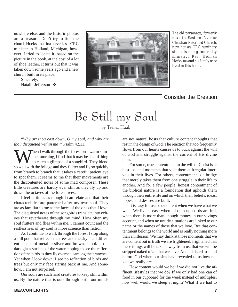nowhere else, and the historic photos are a treasure. Don't try to find the church Hoeksema first served as a CRC minister in Holland, Michigan, however. I tried to locate it, based on the picture in the book, at the cost of a lot of shoe leather. It turns out that it was taken down some years ago and a new church built in its place.

> Sincerely, Natalie Jefferson ❖



*The old parsonage, formerly next to Eastern Avenue Christian Reformed Church, now houses CRC seminary students doing inner city ministry. Rev. Herman Hoeksema and his family once lived in this home.*

#### Consider the Creation

# Be Still my Soul

by Trisha Haak

"*Why art thou cast down, O my soul, and why art thou disquieted within me?*" Psalm 42.11.

When I walk through the forest on a warm summer morning, I find that it may be a hard thing<br>to catch a glimpse of a songbird. They blend<br>so well with the foliage and they flutter and fly so quickly mer morning, I find that it may be a hard thing to catch a glimpse of a songbird. They blend so well with the foliage and they flutter and fly so quickly from branch to branch that it takes a careful patient eye to spot them. It seems to me that their movements are the discontented notes of some mad composer. These little creatures are hardly ever still as they fly up and down the octaves of the forest trees.

I feel at times as though I can relate and that their characteristics are patterned after my own soul. They are as familiar to me as the faces of the ones that I love. The disquieted notes of the songbirds translate into echoes that reverberate through my mind. How often my soul flutters and flies within me, I cannot count and the restlessness of my soul is more science than fiction.

As I continue to walk through the forest I stop along a still pool that reflects the trees and the sky in all different shades of metallic silver and brown. I look at the dark glass surface of the water, hoping to see the reflection of the birds as they fly overhead among the branches. Yet when I look down, I see no reflection of birds and trees but only my face staring back at me. And somehow, I am not surprised.

Our souls are such hard creatures to keep still within us. By the nature that is ours through birth, our minds

are not natural hosts that culture content thoughts that rest in the design of God. The reaction that too frequently flows from our hearts causes us to buck against the will of God and struggle against the current of His divine plan.

For some, true contentment in the will of Christ is at best isolated moments that visit them at irregular intervals in their lives. For others, contentment is a bridge that merely takes them from one struggle in their life to another. And for a few people, honest contentment of the biblical nature is a foundation that upholds them through their entire life and on which their beliefs, ideas, hopes, and desires are built.

It is easy for us to be content when we have what we want. We live at ease when all our cupboards are full, when there is more than enough money in our savings account, and when no untidy situations are linked to our name or the names of those that we love. But that contentment belongs to the world and is really nothing more than an illusion. We may think at those moments that we are content but in truth we are frightened; frightened that these things will be taken away from us, that we will be stripped naked of all that we have. And it is hard to stand before God when our sins have revealed to us how naked we really are.

How content would we be if we did not live the affluent lifestyles that we do? If we only had one can of food in our cupboard for the week instead of multiples, how well would we sleep at night? What if we had to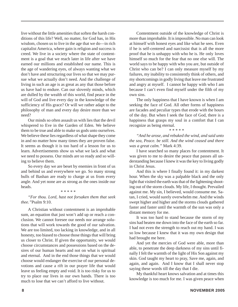live without the little amenities that soften the harsh conditions of this life? Well, no matter, for God has, in His wisdom, chosen us to live in the age that we do—in rich capitalist America, where gain is religion and success is creed. We live in a society where the state of contentment is a goal that we reach later in life after we have earned our millions and established our name. This is the age of wandering eyes, of always wanting what we don't have and structuring our lives so that we may pursue what we actually don't need. And the challenge of living in such an age is as great as any that those before us have had to endure. Can our slovenly minds, which are dulled by the wealth of this world, find peace in the will of God and live every day in the knowledge of the sufficiency of His grace? Or will we rather adapt to the philosophy of man and every day desire more than we need?

Our minds so often assault us with lies that the devil whispered to Eve in the Garden of Eden. We believe them to be true and able to make us gods unto ourselves. We believe these lies regardless of what shape they come in and no matter how many times they are proven false. It seems as though it is too hard of a lesson for us to learn. Advertisements show us what we lack and what we need to possess. Our minds are so ready and so willing to believe them.

So every day we are beset by enemies in front of us and behind us and everywhere we go. So many strong bulls of Bashan are ready to charge at us from every angle. And yet none are as strong as the ones inside our heads.

#### \* \* \* \* \*

*"For thou. Lord, hast not forsaken them that seek thee."*Psalm 9:10.

A Christian without contentment is an improbable sum, an equation that just won't add up or reach a conclusion. We cannot foresee our needs nor arrange solutions that will work towards the good of our salvation. We are too limited, too lacking in knowledge, and in all honesty, too biased to choose those things that will bring us closer to Christ. If given the opportunity, we would choose circumstances and possessions based on the desires of our human hearts and not on what is spiritual and eternal. And in the end those things that we would choose would endanger the exercise of our personal devotions and cause a rift in our prayer life that would leave us feeling empty and void. It is too risky for us to try to place our lives in our own hands. There is too much to lose that we can't afford to live without.

Contentment outside of the knowledge of Christ is more than improbable. It is impossible. No man can look at himself with honest eyes and like what he sees. Even if he is self-centered and narcissist that is all the more proof that he is unhappy with who he is. He only loves himself so much for the fear that no one else will. The world says to be happy with who you are, but outside of Christ who can be? I can only measure myself by my failures, my inability to consistently think of others, and my shortcomings in godly living that leave me frustrated and angry at myself. I cannot he happy with who I am because I can't even find myself under the filth of my own sins.

The only happiness that I have known is when I am seeking the face of God. All other forms of happiness are facades and peculiar types that erode with the hours of the day. But when I seek the face of God, there is a happiness that grasps my soul in a comfort that I can recognize as being eternal.

\* \* \* \* \*

*"And he arose, and rebuked the wind, and said unto the sea, Peace. be still. And the wind ceased and there was a great calm."* Mark 4:39.

I have searched so many places for contentment. It was given to me to desire the peace that passes all understanding because I knew it was the key to living godly in Christ Jesus.

And this is where I finally found it: in my darkest hour. When the sky was a palpable black and the only light that visited the earth was that of the lightening shooting out of the storm clouds. My life, I thought. Prevailed against me. My sin, I believed, would consume me. Satan, I cried, would surely overwhelm me. And the winds swept higher and higher and the storms clouds gathered faster and faster until the warmth of the sun was only a distant memory for me.

It was too hard to stand because the storm of my sins had beaten me down into the face of the earth so far. I had not even the strength to reach out my hand. I was so low because I knew that it was my own design that had brought me here.

And yet the mercies of God were able, more than able, to penetrate the deep darkness of my sins until finally I felt the warmth of the light of His Son against my skin. God taught my heart to pray, Save me, again, and again, and again. And I know that I shall never stop saying these words till the day that I die.

My thankful heart knows salvation and at times this knowledge is too much for me. I was given peace when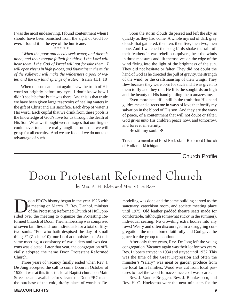I was the most undeserving. I found contentment when I should have been banished from the sight of God forever. I found it in the eye of the hurricane.

#### \* \* \* \* \*

*"When the poor and needy seek water, and there is none, and their tongue faileth for thirst, I the Lord will hear them, I the God of Israel will not forsake them. I will open rivers in high places, and fountains in the midst of the valleys: I will make the wilderness a pool of water, and the dry land springs of water."* Isaiah 41:1, 18

When the sun came out again I saw the truth of His word so brightly before my eyes. I don't know how I didn't see it before but it was there. And this is that truth: we have been given large reservoirs of healing waters in the gift of Christ and His sacrifice. Each drop of water is His word. Each cupful that we drink from these pools is the knowledge of God's love for us through the death of His Son. What we thought were mirages that our fingers could never touch are really tangible truths that we will grasp for all eternity. And we are fools if we do not take advantage of such.

Soon the storm clouds dispersed and left the sky as quickly as they had come. A whole myriad of dark gray clouds that gathered, then ten, then five, then two, then none. And I watched the song birds shake the rain off their feathers in two rebellious quivers, beat the winds in three measures and lift themselves on the edge of the wind flying into the light of the brightness of the sun. They did not hesitate or falter. They did not doubt the hand of God as he directed the pull of gravity, the strength of the wind, or the craftsmanship of their wings. They flew because they were born for such and it was given to them to fly and they did. He lifts the songbirds on high and the beauty of His hand guiding them amazes me.

Even more beautiful still is the truth that His hand guides me and directs me in ways of love that fortify my salvation in the blood of His son. And they are the ways of peace, of a contentment that will not doubt or falter. God gives unto His children peace now, and tomorrow, and forever in eternity.

Be still my soul. ❖

*\_\_\_\_\_\_\_\_\_\_\_\_\_\_\_\_\_\_\_\_\_\_\_\_\_\_\_\_\_\_\_\_\_\_\_\_\_\_\_\_\_\_\_\_\_\_\_\_\_\_\_\_ Trisha is a member of First Protestant Reformed Church of Holland, Michigan.*

Church Profile

# Doon Protestant Reformed Church

by Mrs. A. H. Klein and Mrs. Vi De Boer

oon PRC's history began in the year 1926 with a meeting on March 17. Rev. Danhof, minister of the Protesting Reformed Church of Hull, presided over the meeting to organize the Protesting Reformed Church of Doon. The membership was comprised of seven families and four individuals for a total of fiftytwo souls. "For who hath despised the day of small things?" (Zech. 4:10). our Lord admonishes us! At this same meeting, a consistory of two elders and two deacons was elected. Later that year, the congregation officially adopted the name Doon Protestant Reformed Church.

Three years of vacancy finally ended when Rev. J. De Jong accepted the call to come Doon in October of 1929. It was at this time the local Baptist church on Main Street became available for sale and the Doon PRC made the purchase of the cold, drafty place of worship. Resanctuary, catechism room, and society meeting place until 1975. Old leather padded theatre seats made for comfortable, (although somewhat sticky in the summer), individual seating. No crowding extra bodies into any rows! Weary and often discouraged in a struggling congregation, the men labored faithfully and God gave the grace for the group to continue. After only three years, Rev. De Jong left the young

modeling was done and the same building served as the

congregation. Vacancy again was their lot for two years. Rev. Lubbers arrived in 1934 and stayed until 1937. This was the time of the Great Depression and often the minister's "salary" was meat or garden produce from the local farm families. Wood was cut from local pastures to fuel the wood furnace since coal was scarce.

Rev. J. Vander Breggen, Rev. J. Blankespoor, and Rev. H. C. Hoeksema were the next ministers for the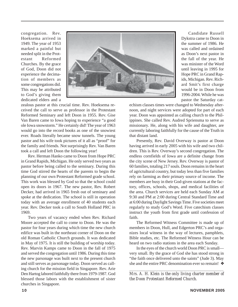congregation. Rev. Hoeksema arrived in 1949. The year of 1953 marked a painful but needed split in the Protestant Reformed Churches. By the grace of God, Doon did not experience the decimation of members as some congregations did. This may be attributed to God's giving them dedicated elders and a



zealous pastor at this crucial time. Rev. Hoeksema received the call to serve as professor in the Protestant Reformed Seminary and left Doon in 1955. Rev. Gise Van Baren came to Iowa hoping to experience "a good ole Iowa snowstorm." He certainly did! The year of 1963 would go into the record books as one of the snowiest ever. Roads literally became snow tunnels. The young pastor and his wife took pictures of it all as "proof" for the family and friends. Not surprisingly Rev. Van Baren took a call and left Doon the following year!

Rev. Herman Hanko came to Doon from Hope PRC in Grand Rapids, Michigan. He only served two years as pastor before being called to the seminary. During this time God stirred the hearts of the parents to begin the planning of our own Protestant Reformed grade school. This work was blessed by God so that the school could open its doors in 1967. The new pastor, Rev. Robert Decker, had arrived in 1965 fresh out of seminary and spoke at the dedication. The school is still in operation today with an average enrollment of 40 students each year. Rev. Decker took a call to South Holland PRC in 1969.

Two years of vacancy ended when Rev. Richard Moore accepted the call to come to Doon. He was the pastor for four years during which time the new church edifice was built in the northeast corner of Doon on the old Roman Catholic Church grounds. It was dedicated in May of 1975. It is still the building of worship today. Rev. Marvin Kamps came to Doon in the fall of 1975 and served the congregation until 1986. During this time the new parsonage was built next to the present church and still serves as parsonage today. Doon served as calling church for the mission field in Singapore. Rev. Arie Den Hartog labored faithfully there from 1979-1987. God blessed those labors with the establishment of sister churches in Singapore.

Candidate Russell Dykstra came to Doon in the summer of 1986. He was called and ordained as Doon's next pastor in the fall of the year. He was minister of the Word until leaving in 1995 for Hope PRC in Grand Rapids, Michigan. Rev. Richard Smit's first charge would be in Doon from 1996-2004. While he was pastor the Saturday cat-

echism classes times were changed to Wednesday afternoon, and night services were adopted for part of each year. Doon was appointed as calling church to the Philippines. She called Rev. Audred Spriensma to serve as missionary. He, along with his wife and daughter, are currently laboring faithfully for the cause of the Truth in that distant land.

Presently, Rev. David Overway is pastor at Doon having arrived in early 2005 with his wife and two children. This is Rev. Overway's second congregation. The endless cornfields of Iowa are a definite change from the city scene of New Jersey. Rev. Overway is pastor of 60 families, totaling 217 souls. Doon remains in the heart of agrictultural country, but today less than five families rely on farming as their primary source of income. The members are busy in their God-given stations at the factory, offices, schools, shops, and medical facilities of the area. Church services are held each Sunday AM at 9:30 and PM at 2:00 during Central Standard Time and at 6:00 during Daylight Savings Time. Five societies meet regularly to study God's Word. Five catechism classes instruct the youth from first grade until confession of faith.

The Reformed Witness Committee is made up of members in Doon, Hull, and Edgerton PRC's and organizes local witness in the way of lectures, pamphlets, Bible studies, etc. The Reformed Witness Hour can be heard on two radio stations in the area each Sunday.

In the eyes of the church world Doon PRC is small very small. By the grace of God she has stood strong in "the faith once delivered unto the saints" (Jude 3). May she and the entire PRC denomination ever so remain! ❖

*\_\_\_\_\_\_\_\_\_\_\_\_\_\_\_\_\_\_\_\_\_\_\_\_\_\_\_\_\_\_\_\_\_\_\_\_\_\_\_\_\_\_\_\_\_\_\_\_\_\_\_\_ Mrs. A. H. Klein is the only living charter member of the Doon Protestant Reformed Church.*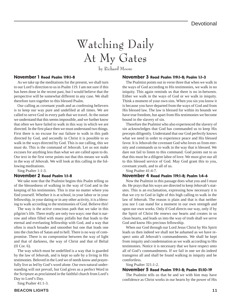# Watching Daily At My Gates

by Richard Moore

#### November 1 Read Psalm 119:1-8

As we take up the meditations for the present, we shall turn to our Lord's direction to us in Psalm 119. I am not sure if this has been done in the recent past, but I would believe that the perspective will be somewhat different in any case. We shall therefore turn together to this blessed Psalm.

Our calling as covenant youth and as confessing believers is to keep our way pure and undefiled at all times. We are called to serve God in every path that we travel. At the outset we understand that this seems impossible, and we further know that often we have failed to walk in this way in which we are directed. In the first place then we must understand two things. First there is no excuse for our failure to walk in this path directed by God, and secondly in Christ it is possible to so walk in the ways directed by God. This is our calling, this we must do. This is the command of Jehovah. Let us not make excuses for anything less than what we are called upon to do. Our text in the first verse points out that this means we walk in the way of Jehovah. We will look at this calling in the following meditations.

Sing Psalter 1:1-3.

#### November 2 Read Psalm 1:1-8

We take note that the Psalmist begins this Psalm telling us of the blessedness of walking in the way of God and in the keeping of his testimonies. This is true no matter where you find yourself. Whether it is at school, in your labor or in your fellowship, in your dating or in any other activity, it is a blessing to walk according to the testimonies of God. Believe this!

The way is the active conscious path that we take in this pilgrim's life. There really are only two ways: one that is narrow and often filled with many pitfalls but that leads to the eternal and everlasting fellowship with God, and a way that often is much broader and smoother but one that leads one into the clutches of Satan and to hell. There is no way of compromise. There is no compromise between the way of light and that of darkness, the way of Christ and that of Belial (II Cor. 6).

The way which must be undefiled is a way that is guarded by the law of Jehovah, and is kept so safe by a living in His testimonies. Beloved in the Lord we of needs know and prayerfully live as led by God's word alone. Our own natural understanding will not prevail, but God gives us a perfect Word in the Scripture as proclaimed in the faithful church from Lord's Day to Lord's Day.

Sing Psalter 41:1-3.

#### November 3 Read Psalm 119:1-8; Psalm 1:1-3

The Psalmist points out in verse three that when we walk in the ways of God according to His testimonies, we walk in no iniquity. This again reminds us that there is no in-between. Either we walk in the ways of God or we walk in iniquity. Think a moment of your own sins. When you sin you know it is because you have departed from the ways of God and from His blessed law. The law is blessed for within its bounds we have true freedom, but apart from His testimonies we become bound in the slavery of sin.

Therefore the Psalmist who also experienced the slavery of sin acknowledges that God has commanded us to keep His precepts diligently. Understand that our God perfectly knows what we need in order to experience peace and His blessed favor. It is Jehovah the covenant God who loves us from eternity and commands us to walk in the way that is blessed. We dare not fail to listen to this command. God points out to us that this must be a diligent labor of love. We must give our all to this blessed service of God. May God grant this to you, covenant youth, and to all of us.

Sing Psalter 41:4-7.

#### November 4 Read Psalm 119:1-8; Psalm 1:4-6

Now the Psalmist in this passage does what you and I must do. He prays that his ways are directed to keep Jehovah's statutes. This is an exclamation, expressing how necessary it is that we cry to God in light of this high calling to walk in the law of Jehovah. The reason is plain and that is that neither you nor I can stand for a moment in our own strength and upon our own works. Only if God directs our way, only if by the Spirit of Christ He renews our hearts and creates in us clean hearts, and leads us into the way of truth shall we serve God and know His precious fellowship.

When our God through our Lord Jesus Christ by His Spirit leads us then indeed we shall not be ashamed as we have respect unto all Jehovah's commandments. We shall be kept from iniquity and condemnation as we walk according to His testimonies. Notice it is necessary that we have respect unto all of God's commandments. If we fail in one we do indeed transgress all and shall be found walking in iniquity and be comfortless.

Sing Psalter 321:1-2.

#### November 5 Read Psalm 119:1-8; Psalm 51:10-19

The Psalmist tells us that he and we with him may have confidence as Christ works in our hearts by the power of His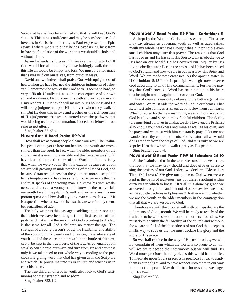Word that he shall not be ashamed and that he will keep God's statutes. This is his confidence and may be ours because God loves us in Christ from eternity as Paul expresses it in Ephesians 1 where we are told that he has loved us in Christ from before the foundation of the world that we should be holy and without blame.

Again he leads us to pray, "O forsake me not utterly." If God would forsake us utterly as we haltingly walk through this life all would be empty and loss. We must pray for grace that saves us from ourselves, from our own ways.

David and we indeed shall praise God with uprightness of heart, when we have learned the righteous judgments of Jehovah. Sometimes the way of the Lord with us seems so hard, so very difficult. Usually it is as a direct consequence of our own sin and weakness. David knew this path and so have you and I, my readers. But Jehovah will maintain His holiness and He will bring judgments upon His beloved when they walk in sin. But He does this in love and teaches us the righteousness of His judgments that we are turned from the pathway that would bring us into condemnation. Indeed, oh Jehovah, forsake us not utterly!

Sing Psalter 321:3-4.

#### November 6 Read Psalm 119:9-16

How shall we as young people cleanse our way. The Psalmist speaks of the youth here not because the youth are worse sinners than the aged. In fact when the older members of the church sin it is even more terrible and this because we should have learned the testimonies of the Word much more fully that when we were youth. But it is exactly because as youth we are still growing in understanding of the law of God, and because Satan recognizes that the youth are more susceptible to his temptation and have less strength of experience that the Psalmist speaks of the young man. He knew his own weaknesses and lusts as a young man, he knew of the many trials our youth face in the pilgrim's walk and so he raises this important question. How shall a young man cleanse his way? It is a question when answered is also the answer for any member regardless of age.

The holy writer in this passage is adding another aspect to that which we have been taught in the first section of this psalm and that is that the seeking of God according to His law is the same for all God's children no matter the age. The strength of a young person's body, the flexibility and ability of the youth to think clearly and to reason, the exuberance of youth—all of these—cannot prevail in the battle of faith except it be kept in the true liberty of the law. As covenant youth we also can cleanse our ways and turn from sin and darkness only if we take heed to our whole way according to the precious life giving word that God has given us in the Scripture and which He proclaims unto us in church and teaches us in catechism, etc.

The true children of God in youth also look to God's testimonies for their strength and wisdom!

Sing Psalter 322:1-2.

#### November 7 Read Psalm 119:9-16; II Corinthians 5

As kept by the Word of Christ and as we are in Christ we may say already as covenant youth as well as aged saints, "with my whole heart have I sought thee." In principle even small children may utter this prayer. The reason is that God has loved us and He has sent His Son to walk in obedience to His law on our behalf. He has covered our iniquity by His loving obedient sacrifice on the cross, and He has been raised to God's right hand now to rule in our hearts by His Spirit and Word. We are made new creatures. As the apostle states in II Corinthians 5:15ff. and in principle we begin now to serve God according to all of His commandments. Further he may say that God's precious Word has been hidden in his heart that he might not sin against the covenant God.

This of course is our only defense in the battle against sin and Satan. We must hide the Word of God in our hearts. That is, it must rule our lives as all our actions flow from our hearts. When directed by the new man in us, we shall not sin against God but love and serve him as faithful children. The Scripture must bind our lives in all that we do. However, the Psalmist also knows your weakness and mine as well as his own, and he prays and we must with him constantly pray, O let me not wander from thy commandments. For by nature all we would do is wander from the ways of God, and it is only as we are kept by Him that we shall walk rightly as His people.

Sing Psalter 322 3-4.

#### November 8 Read Psalm 119:9-16 Ephesians 2:1-10

As the Psalmist led us in the word we considered yesterday, the fact that we may pray should and does give us cause to sing the praises of our God. Indeed we declare, "Blessed art Thou O Jehovah." We give our praise to God when we are kept in the paths of righteousness, for there is nothing within ourselves in which to boast. After all it is alone by grace we are saved through faith and that not of ourselves, lest we boast as the apostle declares in Ephesians 2. Rather we find whether we are the youth or the older members in the congregation that all that we are we owe to God.

Therefore we with the prophet will with our lips declare the judgments of God's mouth. We will be ready to testify of the truth and to be witnesses of that truth to others around us. We must do this within the fellowship of the church and without, for we are so full of the blessedness of our God that keeps us in His way to save us that we must declare His glory and the glory of His grace.

So we shall rejoice in the way of His testimonies, we will not complain of them which the world is so prone to do, nor will we try to escape their testimony, but we will find His Word more precious than any riches this world has to offer. To meditate upon God's precepts is precious for us, to study them is our delight, and to have respect unto them in our way is comfort and peace. May that be true for us so that we forget not His Word.

Sing Psalter 383.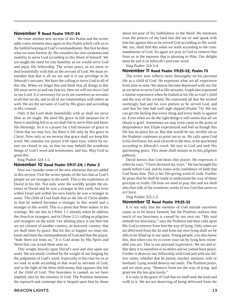#### November 9 Read Psalm 119:17-24

We enter another new section of this Psalm and the writer adds a new element once again to this Psalm which calls us to the faithful keeping of God's commandments. But first he does what we must forever do. He considers his own weakness and inability to serve God according to this Word of himself. We are taught the need for true humility as we would serve God and enjoy His fellowship. The writer prays, as we must, to deal bountifully with him as the servant of God. We must remember that that is all we are and it is our privilege to be Jehovah's servants. We have the calling to serve God in all of this life. When we forget this and think that all things in this life must serve us and our fancies, then we will not serve God as our Lord. It is necessary for us to see ourselves as servants in all that we do, and in all of our relationships with others as well. We are the servants of God by His grace and according to His counsel .

Only if the Lord deals bountifully with us shall we serve Him as we ought. We need His grace in full measure for if there is anything left to us we shall fail to serve Him and know His blessings. So it is a prayer for a full measure of grace in Christ that we may live, for there is life only by His grace in Christ. Now only as we receive that grace shall we keep His word. We continue our prayer with open eyes, which by nature are closed in sin, so that we may behold the wondrous things of God's word and testimonies, and law. May God so grant this.

Sing Psalter 324 1-2.

#### November 10 Read Psalm 119:17-24; I Peter 2

Now we consider some of the new elements that are added in this section. First the writer speaks of the fact that as God's people we are strangers in the earth. This is the experience of David in his life. Not only were the worldly people the enemies of David and he was a stranger in this earth, but even within Israel and within his own family he was a stranger to some. The child of God finds that as the life of Christ abides in him he indeed becomes a stranger to this world and a stranger in this world. This is a point that Peter makes in his writings. We see this in I Peter 1:1 already when he address the church as strangers, and in I Peter 2:11 calling us pilgrims and strangers on the earth. Our abiding place is not here but we are citizens of another country, an heavenly country, that we shall enter by grace. But for this to happen we must see, know and learn the commandments of God and thus the prayer, "hide them not from us." It is God alone by His Spirit and Word that can reveal them unto us.

This weighs heavily upon David's soul and also upon our souls. We are nearly crushed by the weight of our longing for the judgments of God's word. Especially is this true for us as we seek to walk according to that word as servants of God, and in the light of the three-fold enemy that opposes this life of the child of God. This heaviness is caused, as we have implied, also by the enemies of God. The Psalmist mentions the reproach and contempt that is heaped upon him by those

about because of his faithfulness to the Word. He mentions even the princes of the land that did not sit and speak with him but against him as he served God according to His word. We, too, shall find this when we walk according to the commandments of God. So again we pray to God to remove that from us in the measure that is pleasing to Him. Our delight must be and is in Jehovah's precious word.

Sing Psalter 324:3-4.

#### November 11 Read Psalm 119:25-32; Psalm 73

The writer now reflects more thoroughly on his personal life as a child of God. He expresses what we all experience from time to time. We almost become depressed with our life as we strive to serve God as His servants. Asaph also expressed a similar experience when he looked at his life as God's child and the way of the wicked. He contrasted all that the wicked seemingly had and his own portion as he served God, and said that his feet had well nigh slipped (Psalm 73). We too can get the feeling that every thing and every body is against us. Even when we do the right things it still seems that all we obtain is grief. Sometimes we may even come to the point of despondence that Elijah experienced and feel as though this life has no place for us. But that would be sin, terrible sin as the Psalmist continues to point out to us. He calls upon God in his lowliness, his soul cleaveth to the dust, to be quickened according to Jehovah's word. We turn to God and seek His quickening grace. This alone shall sustain us in this pilgrims pathway.

David knows that God hears this prayer. He expresses it when he says, "I have declared my ways." He has brought his needs before God, and he states with confidence of faith that God hears him. This is his life-giving word of truth. Further he prays that he shall be made to understand the way of those precepts or truths. Oh how we need to pray this and we shall also then talk of the wondrous works of our God that saves us in Christ.

Sing Psalter 325:1-2.

#### November 12 Read Psalm 119:25-32

It is not only that the enemies of God outside ourselves cause us to be heavy hearted, but the Psalmist realizes that much of our heaviness is caused by our own sin. "My soul melteth for heaviness," says the Psalmist and then calls upon His God to remove from him the way of lying. Only when we are delivered from the lie and from our own lying shall we be able to be lifted up in our spirit. Young people, you also know this, that when you try to cover your sin by lying how miserable you are. This is our personal experience. We sin and either deny it to ourselves or to others and we cannot have peace. Further it destroys our fellowship with God and with our fellow saints, whether that be parent, teacher, minister, wife or husband. Lying would destroy our souls. The Psalmist prays, and we must pray, "Remove from me the way of lying: and grant me thy law graciously."

It is only in the grace of God that we shall seek the truth and walk in it. We are not deserving of being delivered from the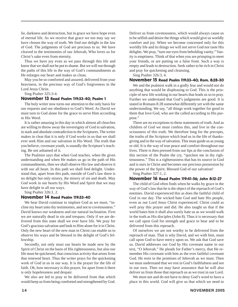lie, darkness and destruction, but in grace we have hope even of eternal life. As we receive that grace we too may say we have chosen the way of truth. We find our delight in the law of God. The judgments of God are precious to us. We have cleaved to the testimonies of our Jehovah, Who loves us for Christ's sake even from eternity.

Thus we have joy even as we pass through this life and know that we shall not be put to shame. But we will run through the paths of this life in the way of God's commandments as He enlarges our heart and makes us clean.

May you be so comforted and assured, delivered from your heaviness, in the precious way of God's forgiveness in the Lord Jesus Christ.

Sing Psalter 325:3-4.

#### November 13 Read Psalm 119:33-40; Psalm 1

The holy writer now turns our attention to the only basis for our requests and our obedience to God's Word. As David we must turn to God alone for the grace to serve Him according to His Word.

It is rather amazing in this day in which almost all churches are willing to throw away the sovereignty of God in salvation, in stark and absolute contradiction to the Scriptures. The writer makes in clear that it is only if God works in us that we shall ever seek Him and our salvation in His Word. The truth that you believe, covenant youth, is soundly the Scripture's teaching. Be not ashamed of it.

The Psalmist says that when God teaches, when He gives understanding and when He makes us go in the path of His commandments, then we shall observe His law and observe it with our all heart. In this path we shall find delight. Understand that, apart from this path, outside of God's law there is no delight but only misery, the misery of sin and death. May God work in our hearts by His Word and Spirit that we may have delight in all our ways.

Sing Psalter 326:1, 2.

#### November 14 Read Psalm 119:33-40

We hear David continue to implore God as we must, "incline my heart unto thy testimonies, and not to covetousness." David knows our weakness and our natural inclination. First we are naturally dead in sin and trespass. Only if we are delivered from this state shall we ever have life. We pray for God's gracious salvation and look to Him alone for it in Christ. Only the new heart of the new man in Christ can enable us to observe his ways and be blessed in the delight of God's fellowship.

Secondly, not only must our hearts be made new by the Spirit of Christ on the basis of His righteousness, but also our life must be quickened, that conscious activity that arises from that renewed heart. Thus the writer prays for the quickening work of God in us in our way. It is the prayer for the life of faith. Oh, how necessary is this prayer, for apart from it there is only hopelessness and despair.

We also are led to pray to be delivered from that which would keep us from being comforted and strengthened by God. Deliver us from covetousness, which would always cause us to be selfish and desire the things which would give us worldly comfort and joy. When we become concerned only for this worldly life and its things we will not serve God nor taste His delights. We pray, "turn our eyes from beholding vanity." Vanity is emptiness. Think of that when you are primping to meet your friends, or are putting on a false front. Such a way is empty and leads to destruction. Seek rather to be rich in Christ and pray for quickening and cleansing.

Sing Psalter 326:3, 4.

#### November 15 Read Psalm 119:33-40; Rom. 8:28-30

We and the psalmist walk in a godly fear and would not do anything that would be displeasing to God. This is the principle of new life working in our hearts that leads us so to pray. Further we understand that God's judgments are good. It is stated in Romans 8:28 somewhat differently yet with the same understanding. We say, "all things work together for good to them that love God, who are the called according to His purpose."

There are no exceptions to these statements of truth. And as children of God we must confess this, and live in the consciousness of this truth. We therefore long for the precepts, the truths of the Scripture which lead us in the life of thanksgiving and in the way of salvation. This must guide us as young or old. It is the way of true peace and comfort throughout our lives. There is then pressed from our lips at the conclusion of this section of the Psalm the cry, "quicken me in thy righteousness." This is a righteousness that has its source in God and is ours in Christ and becomes our precious possession by the power of the Spirit. Blessed God of our salvation!

Sing Psalter 327:1, 2.

#### November 16 Read Psalm 119:41-56; John 8:12-27

The child of God often finds when he walks by grace in the way of God's law that he is the object of the reproach of God's enemies. David experienced this as does the faithful child of God in our day. The wicked hate God and hate His people, even as our Lord Jesus Christ experienced. Christ could as well pray this prayer and did. He also taught us that if the world hates him it shall also surely hate us as we would walk in the truth as His disciples (John 8). Thus it is necessary that we call upon God for strength and grace to bear and to be delivered from this reproach.

Of ourselves we are not worthy to be delivered from the reproach of man. That is why David, and we with him, must call upon God to have mercy upon us. We ask that God save us. David addresses our God by His covenant name in our text, "O Jehovah." He pleads for Father's mercy, that He remember His covenant with him as the ever faithful covenant God. He rests in the promises of Jehovah as we must. Then we must understand that we rest in God's faithfulness and not in our own. Then we may have assurance that he will also deliver us from those that reproach us as we trust in our Lord.

We must not and do not have to deny God's word to have a place in this world. God will give us that which we need to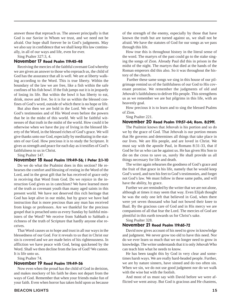answer those that reproach us. The answer principally is that God is our Savior in Whom we trust, and we need not be afraid. Our hope shall forever be in God's judgments. May we also say in confidence that we shall keep His law continually, in all of our ways and life, even for ever.

Sing Psalter 327:3, 4.

#### November 17 Read Psalm 119:45-48

Receiving the mercies of the faithful covenant God whereby we are given an answer to those who reproach us, the child of God has the assurance that all is well. We are at liberty walking according to the Word. This is true liberty. Within the boundary of the law we are free, like a fish within the safe confines of his fish bowl. If the fish jumps out it is in jeopardy of losing its life. But within the bowl it has liberty to eat, drink, move and live. So it is for us within the blessed confines of God's word, outside of which there is no hope or life.

But also then we are bold in the Lord. We will speak of God's testimonies and of His Word even before the powers that be in the midst of this world. We will be faithful witnesses of that truth in the midst of the world. How could it be otherwise when we have the joy of living in the blessed liberty of the Word, in the blessed riches of God's grace. We will give thanks unto our God, especially by meditating in the statutes of our God. How precious it is to study the Scripture. It gives us strength and peace for each day as it testifies of God's faithfulness to us in Christ.

Sing Psalter 147.

#### November 18 Read Psalm 119:49-56; I Peter 2:1-10

Do we do what the Psalmist does in this section? He rehearses the comfort and blessing of resting in the Word of the Lord, and in the great gift that he has received of grace only in receiving that Word from God. Do we rejoice in the instruction God gives us in catechism? We have learned more of the truth as covenant youth than many aged saints in this present world. We have not deserved this rich heritage that God has kept alive in our midst, but by grace we have had instruction that is more precious than any man has received from kings or professors. Are we thankful for the precious gospel that is preached unto us every Sunday by faithful ministers of the Word? We receive from Sabbath to Sabbath a richness of the truth of Scripture that hardly anyone else receives.

That Word causes us to hope and trust in all our ways in the blessedness of our God. For it reveals to us that in Christ our sin is covered and we are made heirs of his righteousness. In affliction we have peace with God, being quickened by the Word. Shall we then decline from the law of God? We cannot. It is life unto us.

Sing Psalter 74.

#### November 19 Read Psalm 119:49-56

Now even when the proud has the child of God in derision, and makes mockery of his faith he does not depart from the ways of God. Remember that when your friends make fun of your faith. Even when horror has taken hold upon us because

of the strength of the enemy, especially by those that have known the truth but are turned against us, we shall not be afraid. We have the statutes of God for our songs as we pass through this life.

How true this is throughout history in the literal sense of the word. The martyrs of the past could go to the stake singing the songs of Zion. Already Paul did this in prison in the midst of the night. The martyrs that died at the hands of the Roman emperors did this also. So it was throughout the history of the church.

 Further these same songs we sing in this house of our pilgrimage remind us of the faithfulness of our God to His covenant promise. We remember the judgments of old and Jehovah's faithfulness to deliver His people. This strengthens us as we remember we are but pilgrims in this life, with an heavenly goal.

How precious it is to learn and to sing the blessed Psalms of Zion.

Sing Psalter 221.

#### November 20 Read Psalm 119:57-64; Rom. 8:29ff.

The Psalmist knows that Jehovah is his portion and so do we by the grace of God. That Jehovah is our portion means that He governs and determines all things that take place in our lives. We are His people, and are loved in Christ. We must say with the apostle Paul, in Romans 8:31-33, that if God be for us who can be against us. He has given His Son to die on the cross to save us, surely He shall provide us all things necessary for life and death.

The writer again rehearses the goodness of God's grace and the fruit of that grace in his life, namely that he would keep God's word, and turn his feet to God's testimonies, and forget not God's law. We must follow in these same paths, and will have the ability, by grace.

Further we are reminded by the writer that we are not alone, although at times it may seem that way. Even Elijah thought he was the only one left that believed in God, when there were yet seven thousand who had not bowed their knee to Baal. By the gracious care of God and in His mercy we are companions of all that fear the Lord. The mercies of God are plentiful in this earth towards us for Christ's sake.

Sing Psalter 328.

#### November 21 Read Psalm 119:65-72

David now gives account of his need to grow in knowledge and judgment. We never grow too old to have this need. Nor do we ever learn so much that we no longer need to grow in knowledge. The writer understands that it is only Jehovah Who can teach him what he needs to know.

He has been taught this by God in very clear and sometimes harsh ways. We are really hard-headed people. Further, we are by nature sinners, have sinned and do too often sin. When we sin, we do not use good judgment nor do we walk with the wise but with the foolish.

And most of us must say with David before we were afflicted we went astray. But God is gracious and He chastens,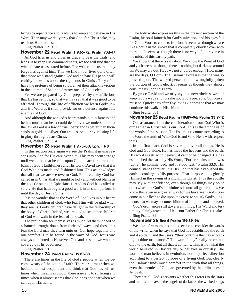brings to repentance and leads us to keep and believe in His Word. Then may we daily pray that God, for Christ sake, may teach us His statutes.

Sing Psalter 329:1, 2.

#### November 22 Read Psalm 119:65-72; Psalm 73:1-17

As God tries us and gives us grace to bear the trials, and leads us to keep His commandments, we too will find that the wicked hate us as stated before. The writer tells us that they forge lies against him. This we find in our lives quite often, that those who stand against God and do hate His people will craftily make lies about the righteous in Christ. They often have the pretense of being so pure, yet their attack is vicious in the attempt of Satan to destroy one of God's elect.

Yet we are prepared by God, prepared by the afflictions that He has sent us, so that we may say that it was good to be afflicted. Through this life of affliction we learn God's law and His Word as it shall provide for us a defense against the enemies of God.

And although the wicked's heart stands out in fatness and he has more than heart could desire, yet we understand that the law of God is a law of true liberty and is better than thousands in gold and silver. Our trials serve our everlasting life in glory through Jesus Christ.

Sing Psalter 329:3, 4.

#### November 23 Read Psalm 119:73-80; Eph. 1:1-8

In this section once again we see the Psalmist giving reasons unto God for His care over him. This may seem strange until we notice that he calls upon God to care for him on the basis of God's faithfulness and His work. David says that it is God Who has made and fashioned him. This acknowledges that all that we are we owe to God. From eternity God has called us in Christ that we might be holy and without blame as the apostle states in Ephesians 1. And as God has called us surely He that hath begun a good work in us shall perform it until the day of Jesus Christ.

It is no wonder that as the Word of God lives in our hearts that other children of God, who fear Him will be glad when they see us. God's children have delight in the fellowship of the body of Christ. Indeed, we are glad to see other children of God who walk in the fear of Jehovah.

The proud who see themselves as much, let them indeed be ashamed, brought down from their evil ways, and those that fear the Lord may they turn unto us. Our hope together and our comfort is to be found in the ways of God. Jesus was always comforted as He served God and so shall we who are covered by His obedience.

Sing Psalter 330.

#### November 24 Read Psalm 119:81-88

There are times in the life of God's people when we become weary of the battle of faith. There are times when we become almost despondent and think that God has left us, times when it seems as though there is no end to suffering and times when it almost seems that God does not hear when we call upon His name.

The holy writer expresses this in the present section of the Psalm, his soul fainteth for God's salvation, and his eyes fail for God's Word to come to fruition. It seems as though we are like a bottle in the smoke that is completely clouded over with the soot. It seems as though there is no way left to traverse in the midst of this earthly path.

We know that there is salvation. We know the Word of God and yet it seems as though there is nothing but darkness around us. We may cry out, Have we not endured enough? How many are the days, O Lord? The Psalmist expresses that he was so pressed upon. The wicked persecute him wrongfully (often the portion of God's elect). It seems as though they almost consume us upon this earth.

By grace David and we may say that, nevertheless, we still keep God's ways and forsake not God's precepts. Our prayer must be: Quicken us after Thy lovingkindness so that we may continue this walk as His children.

Sing Psalter 331.

#### November 25 Read Psalm 119:89-96; Psalm 33:9-12

Our assurance is in the consideration of our God Who is our Father in Christ Jesus our Lord. This is the emphasis of the words of this section. The Psalmist recounts according to the Word the truth of Who God is and Who He is with respect to us.

In the first place God is sovereign over all things. He is God and God alone. He has made the heavens and the earth. His word is settled in heaven; it cannot be changed. He has established the earth by His Word, "For he spake, and it was [done]; he commanded, and it stood fast," Psalm 33:9. His counsel stands forever. It is His God that has established the earth according to His purpose. That purpose is to glorify Himself in the saving of a church in Christ. Thus the apostle may say with confidence, even though all things may point otherwise, that God's faithfulness is unto all generations. We know this even in a greater way for we have seen God's Son come in our flesh to die upon the cross to satisfy God's judgments that we may become children of adoption and be saved.

God's ordinances still govern all things. His Word and testimony plainly teach this. He is our Father for Christ's sake. Sing Psalter 86.

#### November 26 Read Psalm 119:89-96

We take a few moments in this section to consider the words of the writer when he says that God has established the earth and it abideth, and then says, "they continue this day according to thine ordinances." The word "they" really refers not only to the earth, but all that it contains. This is not what the world believed in David's day or believes in our day. The world of man believes in evolution, not in perfect direction according to a perfect purpose of a living God. But clearly the Psalmist finds much comfort in the truth that all things, even the enemies of God, are governed by the ordinances of Jehovah.

They are all God's servants whether this refers to the stars and moons of heaven, the angels of darkness, the wicked kings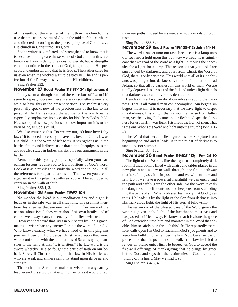of this earth, or the enemies of the truth in the church. It is true that the true servants of God in the midst of this earth are also directed according to the perfect purpose of God to save His church in Christ unto His glory.

So the writer is comforted and strengthened to know that it is because all things are the servants of God and that this testimony is David's delight he does not perish, but is strengthened to continue in the paths of God, forgetting not His precepts and understanding that he is God's. The Father cares for us even when the wicked wait to destroy us. The end is perfection of God's ways—salvation for His children.

Sing Psalter 332.

#### November 27 Read Psalm 119:97-104; Ephesians 6

It may seem as though some of these sections of Psalm 119 seem to repeat, however there is always something new and we also have this in the present section. The Psalmist very personally speaks now of the preciousness of the law to his personal life. He has stated the wonder of the law. Now he especially emphasizes its necessity for his life as God's child. He also explains how precious and how important it is to his very being as God's child.

We also must see this. Do we cry out, "O how love I thy law?" It is indeed necessary to have this love for God's law as His child. It is the Word of life to us. It strengthens us in the battle of faith and it directs us in that battle. It equips us as the apostle also states in Ephesians six. It is our armament in the battle.

Remember this, young people, especially when your catechism lessons require you to learn portions of God's word. Look at it as a privilege to study the word and to look up all the references for a particular lesson. Then when you are an aged saint in this pilgrims pathway you will be equipped to carry on in the walk of faith.

Sing Psalter 333:1, 2.

#### November 28 Read Psalm 119:97-104

No wonder the Word is our meditation day and night. It leads us in the safe way in all situations. The psalmist mentions his enemies that are ever with him. They were of the nations about Israel, they were also of his own family, and of course we always carry the enemy of our flesh with us.

However, that word that lives in our hearts by God's grace, makes us wiser than any enemy. For it is the word of our God Who knows exactly what we have need of in this pilgrims journey. Even our Lord Jesus Christ relied upon that word when confronted with the temptations of Satan, saying in answer to the temptations, "it is written." The law-word is the sword whereby He also fought the battle of faith on our behalf. Surely if Christ relied upon that law in His battle, we who are weak and sinners can only stand upon its basis and strength.

The truth of the Scriptures makes us wiser than any earthly teacher and it is a word that is without error as it would direct

us in our paths. Indeed how sweet are God's words unto our taste.

#### Sing Psalter 333:3, 4.

#### November 29 Read Psalm 119:105-112; John 1:1-14

 The word is sweet unto our taste because it is a lamp unto our feet and a light upon this pathway we tread. It is significant that we read of the Word as a light. It implies the necessity for a light for a lamp. The reason is that you and I are surrounded by darkness, and apart from Christ, the Word of God, there is only darkness. This world with all of its inhabitants was plunged into darkness by the sin of our natural head Adam, so that all is darkness in this world of man. We are totally depraved as a result of the fall and unless light dispels that darkness we can only know destruction.

Besides this all we can do of ourselves is add to the darkness. That is all natural man can accomplish. Sin begets sin begets more sin. It is necessary that we have light to dispel this darkness. It is a light that cannot then arise from fallen man, yet the living God came in our flesh to dispel the darkness for us. In Him was light. His life is the light of men. That is the one Who is the Word and light unto the church (John 1:1- 4).

The Word that became flesh gives us the Scripture from beginning to end and it leads us in the midst of darkness to stand and not stumble.

Sing Psalter 334:1, 2.

#### November 30 Read Psalm 119:105-112; I Pet. 2:1-10

The light of the Word is like the light in a completely dark room. If that room is filled with chairs and tables placed in all new places and we try to walk through it or find a pathway that is safe to pass, it is impossible and we will stumble and fall. But if we have a powerful flashlight we can easily find the path and safely gain the other side. So the Word reveals the dangers of this life unto us, and keeps us from stumbling into the paths of sin. What a blessed testimony that God gives to us. He leads us by the light of the Son from darkness into His marvelous light, the light of His eternal fellowship.

The testimony of the blessed care of the Word given the writer, is given in the light of the fact that he must pass and has passed a difficult way. He knows that it is alone the grace of God extended unto him and manifest in the Word that enables him to safely pass through this life. He repeatedly therefore, calls upon His God to teach him God's judgments and to keep him faithful to remember the law. Now because it is of grace alone that the psalmist shall walk in the law, he is led to render all praise unto Him. He beseeches God to accept the free-will offerings of thanksgiving that he brings by grace before God, and says that the testimonies of God are the rejoicing of his heart. May we find it so.

Sing Psalter 334:3, 4.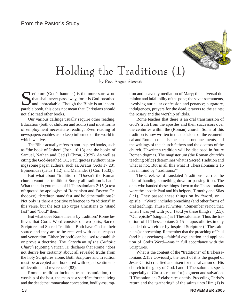

## Holding the Traditions (1)

by Rev. Angus Stewart

Scripture (God's hammer) is the more sure word<br>that shall never pass away, for it is God-breathed<br>and unbreakable. Though the Bible is an incom-<br>parable book, this does not mean that Christians should that shall never pass away, for it is God-breathed and unbreakable. Though the Bible is an incomparable book, this does not mean that Christians should not also read other books.

Our various callings usually require other reading. Education (both of children and adults) and most forms of employment necessitate reading. Even reading of newspapers enables us to keep informed of the world in which we live.

The Bible actually refers to non-inspired books, such as "the book of Jasher" (Josh. 10:13) and the books of Samuel, Nathan and Gad (I Chron. 29:29). As well as citing the God-breathed OT, Paul quotes (without naming) some pagan authors, such as, Aratus (Acts 17:28), Epimenides (Titus 1:12) and Menander (I Cor. 15:33).

But what about "tradition?" "Doesn't the Roman church vaunt her tradition? Surely all tradition is bad." What then do you make of II Thessalonians 2:15 (a text oft quoted by apologists of Romanism and Eastern Orthodoxy): "brethren, stand fast, and hold the traditions?" Not only is there a positive reference to "traditions" in this verse, but the text also urges Christians to "stand fast" and "hold" them.

But what does Rome means by tradition? Rome believes that God's Word consists of two parts, Sacred Scripture and Sacred Tradition. Both have God as their source and they are to be received with equal respect and veneration. Either (or both) can be used to establish or prove a doctrine. The *Catechism of the Catholic Church* (quoting Vatican II) declares that Rome "does not derive her certainty about all revealed truths from the holy Scriptures alone. Both Scripture and Tradition must be accepted and honoured with equal sentiments of devotion and reverence" (82).

Rome's tradition includes transubstantiation, the worship of the host, the mass as a sacrifice for the living and the dead; the immaculate conception, bodily assumption and heavenly mediation of Mary; the universal dominion and infallibility of the pope; the seven sacraments, involving auricular confession and penance; purgatory, indulgences, prayers for the dead, prayers to the saints; the rosary and the worship of idols.

Rome teaches that there is an oral transmission of God's truth from the apostles and their successors over the centuries within the (Roman) church. Some of this tradition is now written in the decisions of the ecumenical and Roman councils, the papal pronouncements, and the writings of the church fathers and the doctors of the church. Unwritten tradition will be disclosed in future Roman dogmas. The magisterium (the Roman church's teaching office) determines what is Sacred Tradition and what is not. But is all this what II Thessalonians 2:15 has in mind by "traditions?"

The Greek word translated "traditions" carries the idea of handing something down or passing it on. The ones who handed these things down to the Thessalonians were the apostle Paul and his helpers, Timothy and Silas (1:1). They passed these things on by "word, or ... epistle." "Word" includes preaching (and other forms of oral teaching). Thus Paul writes, "Remember ye not, that, when I was yet with you, I told ye these things?" (2:5). "Our epistle" (singular) is I Thessalonians. Thus the tradition of II Thessalonians 2:15 is apostolic testimony handed down either by inspired Scripture (I Thessalonians) or preaching. Remember that the preaching of Paul (and his associates)—faithful explanation and application of God's Word—was in full accordance with the Scriptures.

What is the content of the "traditions" of II Thessalonians 2:15? Obviously, the heart of it is the gospel of Jesus Christ crucified and risen for the salvation of His church to the glory of God. I and II Thessalonians speak especially of Christ's return for judgment and salvation. II Thessalonians 2 elaborates on this. Preceding Christ's return and the "gathering" of the saints unto Him (1) is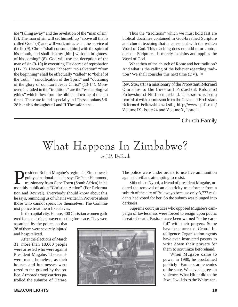*the* "falling away" and the revelation of the "man of sin" (3). The man of sin will set himself up "above all that is called God" (4) and will work miracles in the service of the lie (9). Christ "shall consume [him] with the spirit of his mouth, and shall destroy [him] with the brightness of his coming" (8). God will use the deception of the man of sin (9-10) in executing His decree of reprobation (11-12). However, those "chosen" "to salvation" "from the beginning" shall be effectually "called" to "belief of the truth," "sanctification of the Spirit" and "obtaining of the glory of our Lord Jesus Christ" (13-14). Moreover, included in the "traditions" are the "eschatological ethics" which flow from the biblical doctrine of the last times. These are found especially in I Thessalonians 5:6- 28 but also throughout I and II Thessalonians.

Thus the "traditions" which we must hold fast are biblical doctrines contained in God-breathed Scripture and church teaching that is consonant with the written Word of God. This teaching does not add to or contradict the Scriptures. It merely explains and applies the Word of God.

What then of the church of Rome and her tradition? And what is the calling of the believer regarding tradition? We shall consider this next time (DV).  $\triangleleft$ 

*\_\_\_\_\_\_\_\_\_\_\_\_\_\_\_\_\_\_\_\_\_\_\_\_\_\_\_\_\_\_\_\_\_\_\_\_\_\_\_\_\_\_\_\_\_\_\_\_\_\_*

*Rev. Stewart is a missionary of the Protestant Reformed Churches to the Covenant Protestant Reformed Fellowship of Northern Ireland. This series is being reprinted with permission from the Covenant Protestant Reformed Fellowship website, http://www.cprf.co.uk/ Volume IX, Issue 24 and Volume X, Issue 1..*

Church Family

### What Happens In Zimbabwe? by J.P. DeKlerk

resident Robert Mugabe's regime in Zimbabwe is guilty of national suicide, says Dr.Peter Hammond, missionary from Cape Town (South Africa) in his monthly publication "Christian Action" (For Reformation and Revival). Everybody should know about this, he says, reminding us of what is written in Proverbs about those who cannot speak for themselves. The Communist police treat them like slaves.

In the capital city, Harare, 400 Christian women gathered for an all-night prayer meeting for peace. They were

assaulted by the police, so that 38 of them were severely injured and hospitalized.

After the elections of March 31, more than 18,000 people were arrested who were against President Mugabe. Thousands were made homeless, as their houses and businesses were razed to the ground by the police. Armored troop carriers patrolled the suburbs of Harare.



The police were under orders to use live ammunition against civilians attempting to resist.

Sithenbiso Nyoni, a friend of president Mugabe, ordered the removal of an electricity transformer from a suburb of the city of Bulawayo because only 3,777 residents had voted for her. So the suburb was plunged into darkness.

Supreme court justices who opposed Mugabe's campaign of lawlessness were forced to resign upon public threat of death. Pastors have been warned "to be care-

> ful" with their prayers. Some have been arrested. Central Intelligence Organization agents have even instructed pastors to write down their prayers for them to scrutinize beforehand.

> When Mugabe came to power in 1980, he proclaimed publicly "Farmers are enemies of the state. We have degrees in violence. What Hitler did to the Jews, I will do to the Whites ten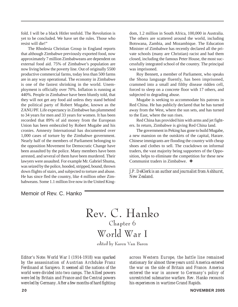fold. I will be a black Hitler tenfold. The Revolution is yet to be concluded. We have set the rules. Those who resist will die!"

The Rhodesia Christian Group in England reports that although Zimbabwe previously exported food, now approximately 7 million Zimbabweans are dependent on external food aid. 75% of Zimbabwe's population are now living below the poverty line. Out of originally 5500 productive commercial farms, today less than 500 farms are in any way operational. The economy in Zimbabwe is one of the fastest shrinking in the world. Unemployment is officially over 70%. Inflation is running at 440%. People in Zimbabwe have been bluntly told, that they will not get any food aid unless they stand behind the political party of Robert Mugabe, known as the ZANU/PF. Life expectancy in Zimbabwe has plummeted to 34 years for men and 33 years for women. It has been recorded that 89% of aid money from the European Union has been embezzled by Robert Mugabe and his cronies. Amnesty International has documented over 1,000 cases of torture by the Zimbabwe government. Nearly half of the members of Parliament belonging to the opposition Movement for Democratic Change have been assaulted by the police. Many members have been arrested, and several of them have been murdered. Their lawyers were assaulted. For example Mr. Gabriel Shuma, was seized by the police, hooded, stripped, bound, thrown down flights of stairs, and subjected to torture and abuse. He has since fled the country, like 4 million other Zimbabweans. Some 1.1 million live now in the United Kingdom, 1.2 million in South Africa, 100,000 in Australia. The others are scattered around the world, including Botswana, Zambia, and Mozambique. The Education Minister of Zimbabwe has recently declared all the private schools (many are Christian) racist and had them closed, including the famous Peter House, the most successfully integrated school of the country. The principal was imprisoned.

Roy Bennett, a member of Parliament, who speaks the Shona language fluently, has been imprisoned, crammed into a small and filthy disease ridden cell, forced to sleep on a concrete floor with 17 others, and subjected to degrading abuse.

Mugabe is seeking to accommodate his patrons in Red China. He has publicly declared that he has turned away from the West, where the sun sets, and has turned to the East, where the sun rises.

Red China has provided him with arms and jet fighters. In return, Zimbabwe is giving Red China land.

The government in Peking has gone to build Mugabe, a new mansion on the outskirts of the capital, Harare. Chinese immigrants are flooding the country with cheap shoes and clothes to sell. The crackdown on informal traders, the vast majority being supporters of the Opposition, helps to eliminate the competition for these new Communist traders in Zimbabwe. ❖

*\_\_\_\_\_\_\_\_\_\_\_\_\_\_\_\_\_\_\_\_\_\_\_\_\_\_\_\_\_\_\_\_\_\_\_\_\_\_\_\_\_\_\_\_\_\_\_\_\_\_ J.P. DeKlerk is an author and journalist from Ashhurst, New Zealand.*

#### Memoir of Rev. C. Hanko

Rev. C. Hanko Chapter 6 World War I

edited by Karen Van Baren

*Editor's Note: World War I (1914-1918) was sparked by the assassination of Austrian Archduke Franz Ferdinand at Sarajevo. It seemed all the nations of the world were divided into two camps. The Allied powers were led by Britain and France and the Central powers were led by Germany. After a few months of hard fighting*

*across Western Europe, the battle line remained stationary for almost three years until America entered the war on the side of Britain and France. America entered the war in answer to Germany's policy of unrestricted submarine warfare. Rev. Hanko recounts his experiences in wartime Grand Rapids.*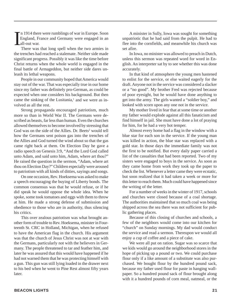I n 1914 there were rumblings of war in Europe. Soon England, France and Germany were engaged in an all-out war.

There was that long spell when the two armies in the trenches had reached a stalemate. Neither side made significant progress. Possibly it was like the time before Christ returns when the whole world is engaged in the final battle of Armageddon, but neither side dares unleash its lethal weapons.

People in our community hoped that America would stay out of the war. That was especially true in our home since my father was definitely pro-German, as could be expected when one considers his background. But then came the sinking of the Lusitania, $<sup>1</sup>$  and we were as in-</sup> volved as all the rest.

Strong propaganda encouraged patriotism, much more so than in World War II. The Germans were described as beasts, far less than human. Even the churches allowed themselves to become involved by stressing that God was on the side of the Allies. Dr. Beets<sup>2</sup> would tell how the Germans sent poison gas into the trenches of the Allies and God turned the wind about so that the gas came right back at them. On Election Day he gave a radio speech on Genesis 3:9, "And the Lord God called unto Adam, and said unto him, Adam, where art thou?" He raised the question in the sermon, "Adam, where art thou on Election Day?" Children especially were aroused to patriotism with all kinds of ditties, sayings and songs.

On one occasion, Rev. Hoeksema was asked to make a speech encouraging the buying of Liberty bonds. The common consensus was that he would refuse, or if he did speak he would oppose the whole idea. When he spoke, some took tomatoes and eggs with them to throw at him. He made a strong defense of submission and obedience to those who are in authority, thus silencing his critics.

This over zealous patriotism was what brought another form of trouble to Rev. Hoeksema, minister in Fourteenth St. CRC in Holland, Michigan, when he refused to have the American flag in the church. His argument was that the church of Jesus Christ was not at war with the Germans, particularly not with the believers in Germany. The people threatened to tar and feather him, and later he was assured that this would have happened if he had not warned them that he was protecting himself with a gun. This gun was still lying loaded in the drawer next to his bed when he went to Pine Rest almost fifty years later.

A minister in Sully, Iowa was sought for something unpatriotic that he had said from the pulpit. He had to flee into the cornfields, and meanwhile his church was set afire.

In Iowa, no minister was allowed to preach in Dutch, unless this sermon was repeated word for word in English. An interpreter sat by to see whether this was done accurately.

In that kind of atmosphere the young men hastened to enlist for the service, or else waited eagerly for the draft. Anyone not in the service was considered a slacker or a "no good". My brother Fred was rejected because of poor eyesight, but he would have done anything to get into the army. The girls wanted a "soldier boy," and looked with scorn upon any one not in the service.

My mother lived in fear that at some time or another my father would explode against all this fanaticism and find himself in jail. She must have done a lot of praying for him, for he had a very hot temper.

Almost every home had a flag in the window with a blue star for each son in the service. If the young man was killed in action, the blue star was replaced with a gold star. In those days the immediate family was not the first to be notified. But every daily paper carried a list of the casualties that had been reported. Two of my sisters were engaged to boys in the service. As soon as they came home from work they took up the paper to check the list. Whenever a letter came they were ecstatic, but soon realized that it had taken a week or more for this letter to reach them. Much could have happened since the writing of the letter.

For a number of weeks in the winter of 1917, schools and churches were closed because of a coal shortage. The authorities maintained that so much coal was being shipped across the sea there was not sufficient for public gathering places.

Because of this closing of churches and schools, a few of the neighbors would come into our kitchen for "church" on Sunday mornings. My dad would conduct the service and read a sermon. Thereupon we would all enjoy a cup of coffee and a piece of cake.

We were all put on ration. Sugar was so scarce that we kids would go around the neighborhood stores in the hope of picking up a pound or two. We could purchase flour only if a like amount of a substitute was also purchased. We bought flour by the hundred pound sack, because my father used flour for paste in hanging wallpaper. So a hundred pound sack of flour brought along with it a hundred pounds of corn meal, oatmeal, or the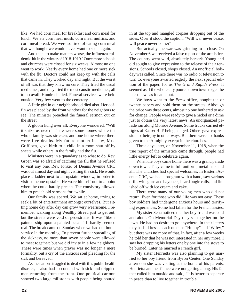like. We had corn meal for breakfast and corn meal for lunch. We ate corn meal mush, corn meal muffins, and corn meal bread. We were so tired of eating corn meal that we thought we would never want to see it again.

And then, to make matters worse, the influenza epidemic hit in the winter of 1918-1919.3 Once more schools and churches were closed for six weeks. Almost no one went to work. Nearly every home had one or more sick with the flu. Doctors could not keep up with the calls that came in. They worked day and night. But the worst of all was that they knew no cure. They tried the usual medicines, and they tried the most caustic medicines, all to no avail. Hundreds died. Funeral services were held outside. Very few went to the cemetery.

A little girl in our neighborhood died also. Her coffin was placed by the front window for the neighbors to see. The minister preached the funeral sermon out on the street.

A gloom hung over all. Everyone wondered, "Will it strike us next?" There were some homes where the whole family was stricken, and one home where there were five deaths. My future mother-in-law, Mrs. Griffioen, gave birth to a child in a room shut off by sheets while others in the family had the flu.

Ministers were in a quandary as to what to do. Rev. Groen was so afraid of catching the flu that he refused to visit any one. Rev. Jonker of Dennis Avenue CRC was out almost day and night visiting the sick. He would place a ladder next to an upstairs window, in order to visit someone upstairs. He wore himself out to a point where he could hardly preach. The consistory allowed him to preach old sermons for awhile.

Our family was spared. We sat at home, trying to seek a bit of entertainment amongst ourselves. But sitting home day after day can grow very wearisome. I remember walking along Wealthy Street, just to get out, but the streets were void of pedestrians. It was "like a painted ship upon a painted ocean." It hardly seemed real. The break came on Sunday when we had our home service in the morning. To prevent further spreading of the sickness, no more than seven people were allowed to meet together; but we did invite in a few neighbors. These were times when prayer was no longer a mere formality, but a cry of the anxious soul pleading for the sick and bereaved.

As the nation struggled to deal with this public health disaster, it also had to contend with sick and crippled men returning from the front. One political cartoon showed two large millstones with people being poured

in at the top and mangled corpses dropping out of the sides. Over it stood the caption: "Will war never cease, will peace never come?"

But actually the war was grinding to a close. On November 6 we received a false report of the armistice. The country went wild, absolutely berserk. Young and old sought to give expression to the release of their tensions. Schools closed, shops closed. An unofficial holiday was called. Since there was no radio or television to turn to, everyone awaited eagerly the next special edition of the paper, for us *The Grand Rapids Press*. It seemed as if the whole city poured down town to get the latest news as it came out.

We boys went to the *Press* office, bought ten or twenty papers and sold them on the streets. Although the price was three cents, almost no one bothered to ask for change. People were ready to give a nickel or a dime just to obtain the very latest news. An unorganized parade ran along Monroe Avenue. Some trucks carried effigies of Kaiser Bill<sup>4</sup> being hanged. Others gave expression to their joy in other ways. But there were no thanks given to the Almighty except in the churches.

Three days later, on November 11, 1918, when the true report of the armistice came through, people had little energy left to celebrate again.

When the boys came home there was a grand parade down town. They came in full uniform, metal hats and all. The churches had special welcomes. In Eastern Avenue CRC, we had a program with a band, saw various drills with guns and bayonets, heard bugle calls, and finished off with ice cream and cake.

There were many of our young men who did not return. Even for those who did, life was not easy. These boy soldiers had undergone anxious hours and terrifying experiences. Some had fallen for the French lassies.

My sister Sena noticed that her boy friend was cold and aloof. On Memorial Day they sat together on the lawn. He had no desire to go anywhere. In their letters they had addressed each other as "Hubby" and "Wifey," but there was no more of that. In fact, after a few weeks he told her that he was not interested in her any more. I saw her dropping his letters one by one into the stove to be burned. Later he married a French girl.

My sister Henrietta was also planning to get married to her boy friend from Byron Center. One Sunday afternoon she was visiting at the home of his parents. Henrietta and her fiance were not getting along. His father called him outside and said, "It is better to separate in peace than to live together in trouble."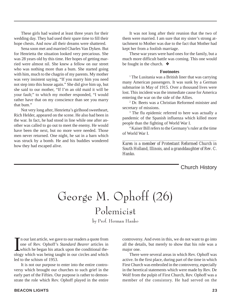These girls had waited at least three years for their wedding day. They had used their spare time to fill their hope chests. And now all their dreams were shattered.

Sena soon met and married Charles Van Dyken. But for Henrietta the situation looked very precarious. She was 28 years old by this time. Her hopes of getting married were almost nil. She knew a fellow on our street who was nothing more than a bum. She started going with him, much to the chagrin of my parents. My mother was very insistent saying, "If you marry him you need not step into this house again." She did give him up, but she said to our mother, "If I'm an old maid it will be your fault;" to which my mother responded, "I would rather have that on my conscience than see you marry that bum."

Not very long after, Henrietta's girlhood sweetheart, Rich Helder, appeared on the scene. He also had been in the war. In fact, he had stood in line while one after another was called to go out to meet the enemy. He would have been the next, but no more were needed. Those men never returned. One night, he sat in a barn which was struck by a bomb. He and his buddies wondered how they had escaped alive.

It was not long after their reunion that the two of them were married. I am sure that my sister's strong attachment to Mother was due to the fact that Mother had kept her from a foolish marriage.

These war years were hard ones for the family, but a much more difficult battle was coming. This one would be fought in the church. ❖

#### **Footnotes**

<sup>1</sup> The Lusitania was a British liner that was carrying many American passengers. It was sunk by a German submarine in May of 1915. Over a thousand lives were lost. This incident was the immediate cause for America entering the war on the side of the Allies.

2 Dr. Beets was a Christian Reformed minister and secretary of missions.

<sup>3</sup> The flu epidemic referred to here was actually a pandemic of the Spanish influenza which killed more people than the fighting of World War I.

4 Kaiser Bill refers to the Germany's ruler at the time of World War I.

*\_\_\_\_\_\_\_\_\_\_\_\_\_\_\_\_\_\_\_\_\_\_\_\_\_\_\_\_\_\_\_\_\_\_\_\_\_\_\_\_\_\_\_\_\_\_\_\_\_\_*

*Karen is a member of Protestant Reformed Church in South Holland, Illinois, and a granddaughter of Rev. C. Hanko.*

Church History

# George M. Ophoff (26)

Polemicist

by Prof. Herman Hanko

In our last article, we gave to our readers a quote from<br>one of Rev. Ophoff's *Standard Bearer* articles in<br>which he began his attack upon the conditional the-<br>ology which was being taught in our circles and which n our last article, we gave to our readers a quote from one of Rev. Ophoff's *Standard Bearer* articles in which he began his attack upon the conditional theled to the schism of 1953.

It is not our purpose to enter into the entire controversy which brought our churches to such grief in the early part of the Fifties. Our purpose is rather to demonstrate the role which Rev. Ophoff played in the entire controversy. And even in this, we do not want to go into all the details, but merely to show that his role was a major one.

There were several areas in which Rev. Ophoff was active. In the first place, during part of the time in which First Church was embroiled in the controversy, especially in the heretical statements which were made by Rev. De Wolf from the pulpit of First Church, Rev. Ophoff was a member of the consistory. He had served on the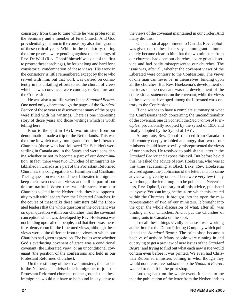consistory from time to time while he was professor in the Seminary and a member of First Church. And God providentially put him in the consistory also during some of these critical years. While in the consistory, during the time protests were pending against the teachings of Rev. De Wolf (Rev. Ophoff himself was one of the first to protest these teachings), he fought long and hard for a consistorial condemnation of these views. His work in the consistory is little remembered except by those who served with him; but that work was carried on consistently in his unfailing efforts to rid the church of views which he was convinced were contrary to Scripture and the Confessions.

He was also a prolific writer in the *Standard Bearer***.** One need only glance through the pages of the *Standard Bearer* of those years to discover that many of the pages were filled with his writings. There is one interesting story of those years and those writings which is worth telling here.

Prior to the split in 1953, two ministers from our denomination made a trip to the Netherlands. This was the time in which many immigrants from the Liberated Churches (those who had followed Dr. Schilder) were settling in Canada and in the States and were considering whether or not to become a part of our denomination. In fact, there were two Churches of immigrants established in Canada as a part of the Protestant Reformed Churches: the congregations of Hamilton and Chatham. The big question was: Could these Liberated immigrants keep their own covenant views and still be part of our denomination? When the two ministers from our Churches visited in the Netherlands, they had opportunity to talk with leaders from the Liberated Churches. In the course of these talks these ministers told the Liberated leaders that the whole question of the covenant was on open question within our churches, that the covenant conception which was developed by Rev. Hoeksema was not binding upon all our people, and that there was therefore plenty room for the Liberated views, although these views were quite different from the views to which our Churches had given expression. The issues were whether God's everlasting covenant of grace was a conditional covenant (the Liberated view) or an unconditional covenant (the position of the confessions and held in our Protestant Reformed churches).

On the testimony of these two ministers, the leaders in the Netherlands advised the immigrants to join the Protestant Reformed churches on the grounds that these immigrants would not have to be bound in any sense to

the views of the covenant maintained in our circles. And many did this.

On a classical appointment to Canada, Rev. Ophoff was given one of these letters by an immigrant. It immediately became clear to him that the two ministers from our churches had done our churches a very great disservice and had badly misrepresented our churches. The issue was, after all, whether the covenant views of the Liberated were contrary to the Confessions. The views of one man can never be, in themselves, binding upon all the churches. But Rev. Hoeksema's development of the ideas of the covenant was the development of the confessional statements on the covenant, while the views of the covenant developed among the Liberated was contrary to the Confessions.

If one wishes to have a complete summary of what the Confessions teach concerning the unconditionality of the covenant, one can consult the *Declaration of Principles*, provisionally adopted by the synod of 1950 and finally adopted by the Synod of 1951.

At any rate, Rev. Ophoff returned from Canada to this country deeply troubled and angry that two of our ministers should have so evilly misrepresented the views of our churches. He resolved to publish this letter in the *Standard Bearer* and expose this evil. But before he did this, he asked the advice of Rev. Hoeksema, who was at this time vacationing at Black Lake. Rev. Hoeksema advised against the publication of the letter; and this same advice was given by others. There were very few if any who thought the letter ought to be published. Nevertheless, Rev. Ophoff, contrary to all this advice, published it anyway. You can imagine the storm which this created within the Churches. It brought into the open the misrepresentation of two of our ministers. It brought into the open the whole discussion of what, after all, was binding in our Churches. And it put the Churches of immigrants in Canada on the spot.

I recall these things vividly because I was working at the time for the Doorn Printing Company which published the *Standard Bearer.* The print shop became a beehive of activity. Many people were running in and out trying to get a preview of new issues of the *Standard Bearer* and trying to find out what each new issue would contain even before it was printed. We even had Christian Reformed ministers coming in who, though they would not themselves subscribe to the *Standard Bearer*, wanted to read it in the print shop.

Looking back on the whole event, it seems to me that the publication of the letter from the Netherlands to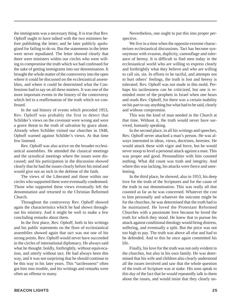the immigrants was a necessary thing. It is true that Rev. Ophoff ought to have talked with the two ministers before publishing the letter; and he later publicly apologized for failing to do so. But the statements in the letter were never repudiated. The letter showed clearly that there were ministers within our circles who were willing to compromise the truth which we had confessed for the sake of getting immigrants into our denomination. It brought the whole matter of the controversy into the open where it could be discussed on the ecclesiastical assemblies, and where it could be determined what the Confessions had to say on all these matters. It was one of the more important events in the history of the controversy which led to a reaffirmation of the truth which we confessed.

In the sad history of events which preceded 1953, Rev. Ophoff was probably the first to detect that Schilder's views on the covenant were wrong and were a grave threat to the truth of salvation by grace alone. Already when Schilder visited our churches in 1948, Ophoff warned against Schilder's views. At that time few listened.

Rev. Ophoff was also active on the broader ecclesiastical assemblies. He attended the classical meetings and the synodical meetings where the issues were discussed; and his participation in the discussion showed clearly that he had the issues clearly before his mind and would give not an inch in the defense of the faith.

The views of the Liberated and those within our circles who supported them were eventually condemned. Those who supported these views eventually left the denomination and returned to the Christian Reformed Church.

Throughout the controversy Rev. Ophoff showed again the characteristics which he had shown throughout his ministry. And it might be well to make a few concluding remarks about them.

In the first place, Rev. Ophoff, both in his writings and his public statements on the floor of ecclesiastical assemblies showed again that tact was not one of his strong points. Rev. Ophoff would never have succeeded in the circles of international diplomacy. He always said what he thought: boldly, forthrightly, without equivocation, and utterly without tact. He had always been this way, and it was not surprising that he should continue to be this way in his later years. This "tactlessness" often got him into trouble, and his writings and remarks were often an offense to many.

Nevertheless, one ought to put this into proper perspective.

We live in a time when the opposite extreme characterizes ecclesiastical discussions. Tact has become synonymous with evasion, duplicity, camouflage and tolerance of heresy. It is difficult to find men today in the ecclesiastical world who are willing to express clearly and forthrightly what they believe and who are willing to call sin, sin. In efforts to be tactful, and attempts not to hurt others' feelings, the truth is lost and heresy is tolerated. Rev. Ophoff was not made in this mold. Perhaps his tactlessness can be criticized, but one is reminded more of the prophets in Israel when one hears and reads Rev. Ophoff, for there was a certain inability on his part to say anything but what had to be said, clearly and without compromise.

This was the kind of man needed in the Church at that time. Without it, the truth would never have survived, humanly speaking.

In the second place, in all his writings and speeches, Rev. Ophoff never attacked a man's person. He was always interested in ideas, views, doctrines, heresies. He would attack these with vigor and force, but he would never stoop to level a personal attack against a man. This was proper and good. Personalities with him counted nothing. What did count was truth and integrity. And where this was lacking, his attacks were fierce and unrelenting.

In the third place, he showed, also in 1953, his deep love for the truth of the Scriptures and for the cause of the truth in our denomination. This was really all that counted as far as he was concerned. Whatever the cost to him personally and whatever the outcome might be for the churches, he was determined that the truth had to be maintained. He loved the Protestant Reformed Churches with a passionate love because he loved the truth for which they stood. He knew that to pursue his attack against conditional theology would bring distress, suffering, and eventually a split. But the price was not too high to pay. The truth was above all else and had to be defended. And to this he once again committed his life.

Finally, his love for the truth was not only evident in the churches, but also in his own family. He was determined that his wife and children also clearly understood all the issues involved and saw that the whole question of the truth of Scripture was at stake. His sons speak to this day of the fact that he would repeatedly talk to them about the issues, and would insist that they clearly un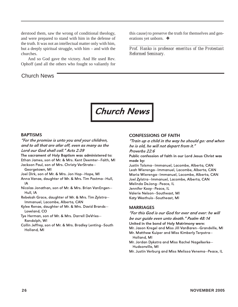derstood them, saw the wrong of conditional theology, and were prepared to stand with him in the defense of the truth. It was not an intellectual matter only with him, but a deeply spiritual struggle, with him – and with the churches.

And so God gave the victory. And He used Rev. Ophoff (and all the others who fought so valiantly for

#### Church News

this cause) to preserve the truth for themselves and generations yet unborn. ❖

*\_\_\_\_\_\_\_\_\_\_\_\_\_\_\_\_\_\_\_\_\_\_\_\_\_\_\_\_\_\_\_\_\_\_\_\_\_\_\_\_\_\_\_\_\_\_\_\_\_\_ Prof. Hanko is professor emeritus of the Protestant Reformed Seminary.*



#### BAPTISMS

"For the promise is unto you and your children, and to all that are afar off, even as many as the Lord our God shall call." Acts 2:39 The sacrament of Holy Baptism was administered to: Ethan James, son of Mr. & Mrs. Kent Deemter—Faith, MI Jackson Paul, son of Mrs. Christy VerStrate— Georgetown, MI Joel Dirk, son of Mr. & Mrs. Jon Hop—Hope, MI Anna Vanae, daughter of Mr. & Mrs. Tim Postma—Hull, IA Nicolas Jonathan, son of Mr. & Mrs. Brian VanEngen— Hull, IA Rebekah Grace, daughter of Mr. & Mrs. Tim Zylstra— Immanuel, Lacombe, Alberta, CAN Kylee Renae, daughter of Mr. & Mrs. David Brands— Loveland, CO Tye Herman, son of Mr. & Mrs. Darrell DeVries—

Randolph, WI

Collin Jeffrey, son of Mr. & Mrs. Bradley Lenting—South Holland, MI

#### CONFESSIONS OF FAITH

"Train up a child in the way he should go: and when he is old, he will not depart from it." Proverbs 22:6

Public confession of faith in our Lord Jesus Christ was made by:

Justin Tolsma—Immanuel, Lacombe, Alberta, CAN Leah Wierenga—Immanuel, Lacombe, Alberta, CAN Maria Wierenga—Immanuel, Lacombe, Alberta, CAN Joel Zylstra—Immanuel, Lacombe, Alberta, CAN Melinda DeJong—Peace, IL Jennifer Kooy—Peace, IL

Valerie Nelson—Southeast, MI Katy Westhuis—Southeast, MI

#### **MARRIAGES**

"For this God is our God for ever and ever: he will be our guide even unto death." Psalm 48:14 United in the bond of Holy Matrimony were: Mr. Jason Kregel and Miss Jill VanBaren—Grandville, MI Mr. Matthew Kuiper and Miss Kimberly Terpstra— Holland, MI Mr. Jordan Dykstra and Miss Rachel Nagelkerke— Hudsonville, MI Mr. Justin Verburg and Miss Melissa Venema—Peace, IL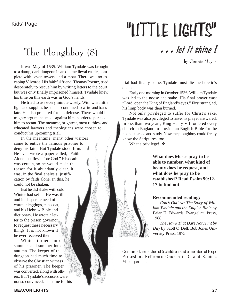# "LITTLE LIGHTS"

## The Ploughboy (8)

It was May of 1535. William Tyndale was brought to a damp, dark dungeon in an old medieval castle, complete with seven towers and a moat. There was no escaping Vilvorde. His faithful friend, Thomas Poyntz, tried desperately to rescue him by writing letters to the court, but was only finally imprisoned himself. Tyndale knew his time on this earth was in God's hands.

He tried to use every minute wisely. With what little light and supplies he had, he continued to write and translate. He also prepared for his defense. There would be mighty arguments made against him in order to persuade him to recant. The meanest, brightest, most ruthless and educated lawyers and theologians were chosen to conduct his upcoming trial.

15000

The population.

 $\frac{1}{2}$ 

ŝ

200000000000

In the meantime, many other visitors came to entice the famous prisoner to deny his faith. But Tyndale stood firm. He even wrote a paper called, "Faith Alone Justifies before God." His death was certain, so he would make the reason for it abundantly clear. It was, in the final analysis, justification by faith alone. In this, he could not be shaken.

But he did shake with cold. Winter had set in. He was ill and in desperate need of his warmer leggings, cap, coat, 2009 and his Hebrew Bible and dictionary. He wrote a letter to the prison governor to request these necessary things. It is not known if he ever received them.

Winter turned into summer, and summer into autumn. The keeper of the dungeon had much time to observe the Christian witness of his prisoner. The keeper was converted, along with others. But Tyndale's accusers were not so convinced. The time for his . . . let it shine !

by Connie Meyer

trial had finally come. Tyndale must die the heretic's death.

Early one morning in October 1536, William Tyndale was led to the noose and stake. His final prayer was: "Lord, open the King of England's eyes." First strangled, his limp body was then burned.

Not only privileged to suffer for Christ's sake, Tyndale was also privileged to have his prayer answered. In less than two years, King Henry VIII ordered every church in England to provide an English Bible for the people to read and study. Now the ploughboy could freely know the Scriptures, too.

What a privilege! ❖

**What does Moses pray to be able to number, what kind of beauty does he request, and what does he pray to be established? Read Psalm 90:12- 17 to find out!**

#### **Recommended reading:**

*God's Outlaw: The Story of William Tyndale and the English Bible* by Brian H. Edwards, Evangelical Press, 1988.

*The Hawk That Dare Not Hunt by Day* by Scott O'Dell, Bob Jones University Press, 1975.

*Connie is the mother of 5 children and a member of Hope Protestant Reformed Church in Grand Rapids, Michigan.*

*\_\_\_\_\_\_\_\_\_\_\_\_\_\_\_\_\_\_\_\_\_\_\_\_\_\_\_\_\_\_\_\_\_\_\_\_\_\_\_\_\_\_\_\_\_\_\_\_*